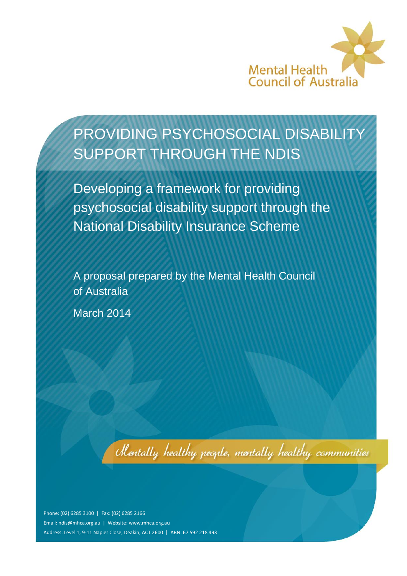

# PROVIDING PSYCHOSOCIAL DISABILITY SUPPORT THROUGH THE NDIS

Developing a framework for providing psychosocial disability support through the National Disability Insurance Scheme

A proposal prepared by the Mental Health Council of Australia

March 2014

Mentally healthy people, mentally healthy communities

Phone: (02) 6285 3100 | Fax: (02) 6285 2166 Email: [ndis@mhca.org.au](mailto:ndis@mhca.org.au) | Website: www.mhca.org.au Address: Level 1, 9-11 Napier Close, Deakin, ACT 2600 | ABN: 67 592 218 493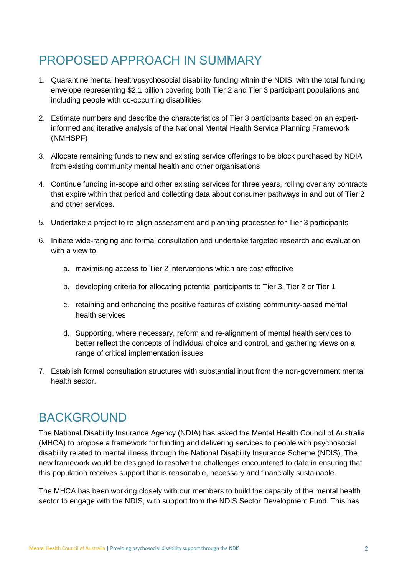# PROPOSED APPROACH IN SUMMARY

- 1. Quarantine mental health/psychosocial disability funding within the NDIS, with the total funding envelope representing \$2.1 billion covering both Tier 2 and Tier 3 participant populations and including people with co-occurring disabilities
- 2. Estimate numbers and describe the characteristics of Tier 3 participants based on an expertinformed and iterative analysis of the National Mental Health Service Planning Framework (NMHSPF)
- 3. Allocate remaining funds to new and existing service offerings to be block purchased by NDIA from existing community mental health and other organisations
- 4. Continue funding in-scope and other existing services for three years, rolling over any contracts that expire within that period and collecting data about consumer pathways in and out of Tier 2 and other services.
- 5. Undertake a project to re-align assessment and planning processes for Tier 3 participants
- 6. Initiate wide-ranging and formal consultation and undertake targeted research and evaluation with a view to:
	- a. maximising access to Tier 2 interventions which are cost effective
	- b. developing criteria for allocating potential participants to Tier 3, Tier 2 or Tier 1
	- c. retaining and enhancing the positive features of existing community-based mental health services
	- d. Supporting, where necessary, reform and re-alignment of mental health services to better reflect the concepts of individual choice and control, and gathering views on a range of critical implementation issues
- 7. Establish formal consultation structures with substantial input from the non-government mental health sector.

#### **BACKGROUND**

The National Disability Insurance Agency (NDIA) has asked the Mental Health Council of Australia (MHCA) to propose a framework for funding and delivering services to people with psychosocial disability related to mental illness through the National Disability Insurance Scheme (NDIS). The new framework would be designed to resolve the challenges encountered to date in ensuring that this population receives support that is reasonable, necessary and financially sustainable.

The MHCA has been working closely with our members to build the capacity of the mental health sector to engage with the NDIS, with support from the NDIS Sector Development Fund. This has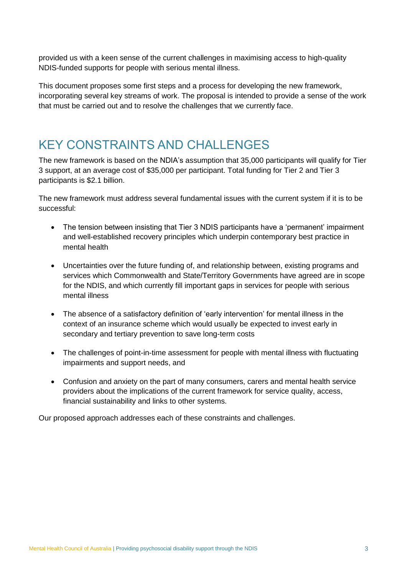provided us with a keen sense of the current challenges in maximising access to high-quality NDIS-funded supports for people with serious mental illness.

This document proposes some first steps and a process for developing the new framework, incorporating several key streams of work. The proposal is intended to provide a sense of the work that must be carried out and to resolve the challenges that we currently face.

#### KEY CONSTRAINTS AND CHALLENGES

The new framework is based on the NDIA's assumption that 35,000 participants will qualify for Tier 3 support, at an average cost of \$35,000 per participant. Total funding for Tier 2 and Tier 3 participants is \$2.1 billion.

The new framework must address several fundamental issues with the current system if it is to be successful:

- The tension between insisting that Tier 3 NDIS participants have a 'permanent' impairment and well-established recovery principles which underpin contemporary best practice in mental health
- Uncertainties over the future funding of, and relationship between, existing programs and services which Commonwealth and State/Territory Governments have agreed are in scope for the NDIS, and which currently fill important gaps in services for people with serious mental illness
- The absence of a satisfactory definition of 'early intervention' for mental illness in the context of an insurance scheme which would usually be expected to invest early in secondary and tertiary prevention to save long-term costs
- The challenges of point-in-time assessment for people with mental illness with fluctuating impairments and support needs, and
- Confusion and anxiety on the part of many consumers, carers and mental health service providers about the implications of the current framework for service quality, access, financial sustainability and links to other systems.

Our proposed approach addresses each of these constraints and challenges.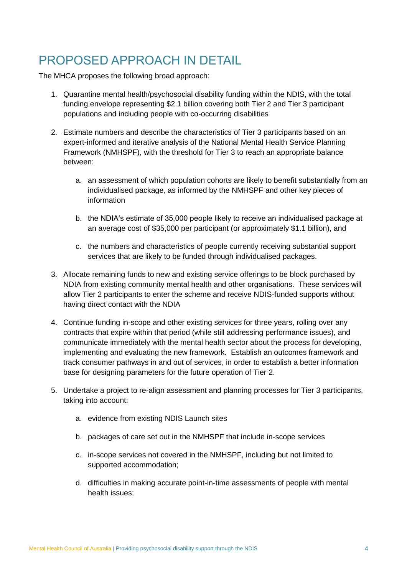## PROPOSED APPROACH IN DETAIL

The MHCA proposes the following broad approach:

- 1. Quarantine mental health/psychosocial disability funding within the NDIS, with the total funding envelope representing \$2.1 billion covering both Tier 2 and Tier 3 participant populations and including people with co-occurring disabilities
- 2. Estimate numbers and describe the characteristics of Tier 3 participants based on an expert-informed and iterative analysis of the National Mental Health Service Planning Framework (NMHSPF), with the threshold for Tier 3 to reach an appropriate balance between:
	- a. an assessment of which population cohorts are likely to benefit substantially from an individualised package, as informed by the NMHSPF and other key pieces of information
	- b. the NDIA's estimate of 35,000 people likely to receive an individualised package at an average cost of \$35,000 per participant (or approximately \$1.1 billion), and
	- c. the numbers and characteristics of people currently receiving substantial support services that are likely to be funded through individualised packages.
- 3. Allocate remaining funds to new and existing service offerings to be block purchased by NDIA from existing community mental health and other organisations. These services will allow Tier 2 participants to enter the scheme and receive NDIS-funded supports without having direct contact with the NDIA
- 4. Continue funding in-scope and other existing services for three years, rolling over any contracts that expire within that period (while still addressing performance issues), and communicate immediately with the mental health sector about the process for developing, implementing and evaluating the new framework. Establish an outcomes framework and track consumer pathways in and out of services, in order to establish a better information base for designing parameters for the future operation of Tier 2.
- 5. Undertake a project to re-align assessment and planning processes for Tier 3 participants, taking into account:
	- a. evidence from existing NDIS Launch sites
	- b. packages of care set out in the NMHSPF that include in-scope services
	- c. in-scope services not covered in the NMHSPF, including but not limited to supported accommodation;
	- d. difficulties in making accurate point-in-time assessments of people with mental health issues;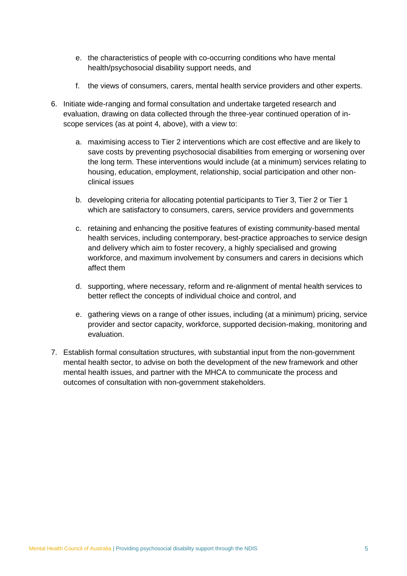- e. the characteristics of people with co-occurring conditions who have mental health/psychosocial disability support needs, and
- f. the views of consumers, carers, mental health service providers and other experts.
- 6. Initiate wide-ranging and formal consultation and undertake targeted research and evaluation, drawing on data collected through the three-year continued operation of inscope services (as at point 4, above), with a view to:
	- a. maximising access to Tier 2 interventions which are cost effective and are likely to save costs by preventing psychosocial disabilities from emerging or worsening over the long term. These interventions would include (at a minimum) services relating to housing, education, employment, relationship, social participation and other nonclinical issues
	- b. developing criteria for allocating potential participants to Tier 3, Tier 2 or Tier 1 which are satisfactory to consumers, carers, service providers and governments
	- c. retaining and enhancing the positive features of existing community-based mental health services, including contemporary, best-practice approaches to service design and delivery which aim to foster recovery, a highly specialised and growing workforce, and maximum involvement by consumers and carers in decisions which affect them
	- d. supporting, where necessary, reform and re-alignment of mental health services to better reflect the concepts of individual choice and control, and
	- e. gathering views on a range of other issues, including (at a minimum) pricing, service provider and sector capacity, workforce, supported decision-making, monitoring and evaluation.
- 7. Establish formal consultation structures, with substantial input from the non-government mental health sector, to advise on both the development of the new framework and other mental health issues, and partner with the MHCA to communicate the process and outcomes of consultation with non-government stakeholders.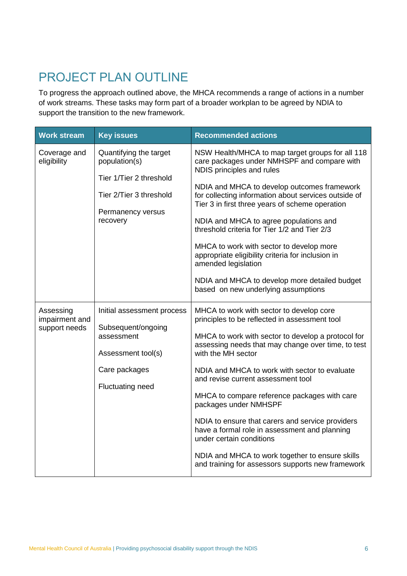# PROJECT PLAN OUTLINE

To progress the approach outlined above, the MHCA recommends a range of actions in a number of work streams. These tasks may form part of a broader workplan to be agreed by NDIA to support the transition to the new framework.

| <b>Work stream</b>                           | <b>Key issues</b>                                                                                                                | <b>Recommended actions</b>                                                                                                                                                                                                                                                                                                                                                                                                                                                                                                                                                                                                           |
|----------------------------------------------|----------------------------------------------------------------------------------------------------------------------------------|--------------------------------------------------------------------------------------------------------------------------------------------------------------------------------------------------------------------------------------------------------------------------------------------------------------------------------------------------------------------------------------------------------------------------------------------------------------------------------------------------------------------------------------------------------------------------------------------------------------------------------------|
| Coverage and<br>eligibility                  | Quantifying the target<br>population(s)<br>Tier 1/Tier 2 threshold<br>Tier 2/Tier 3 threshold<br>Permanency versus<br>recovery   | NSW Health/MHCA to map target groups for all 118<br>care packages under NMHSPF and compare with<br>NDIS principles and rules<br>NDIA and MHCA to develop outcomes framework<br>for collecting information about services outside of<br>Tier 3 in first three years of scheme operation                                                                                                                                                                                                                                                                                                                                               |
|                                              |                                                                                                                                  | NDIA and MHCA to agree populations and<br>threshold criteria for Tier 1/2 and Tier 2/3<br>MHCA to work with sector to develop more<br>appropriate eligibility criteria for inclusion in<br>amended legislation<br>NDIA and MHCA to develop more detailed budget<br>based on new underlying assumptions                                                                                                                                                                                                                                                                                                                               |
| Assessing<br>impairment and<br>support needs | Initial assessment process<br>Subsequent/ongoing<br>assessment<br>Assessment tool(s)<br>Care packages<br><b>Fluctuating need</b> | MHCA to work with sector to develop core<br>principles to be reflected in assessment tool<br>MHCA to work with sector to develop a protocol for<br>assessing needs that may change over time, to test<br>with the MH sector<br>NDIA and MHCA to work with sector to evaluate<br>and revise current assessment tool<br>MHCA to compare reference packages with care<br>packages under NMHSPF<br>NDIA to ensure that carers and service providers<br>have a formal role in assessment and planning<br>under certain conditions<br>NDIA and MHCA to work together to ensure skills<br>and training for assessors supports new framework |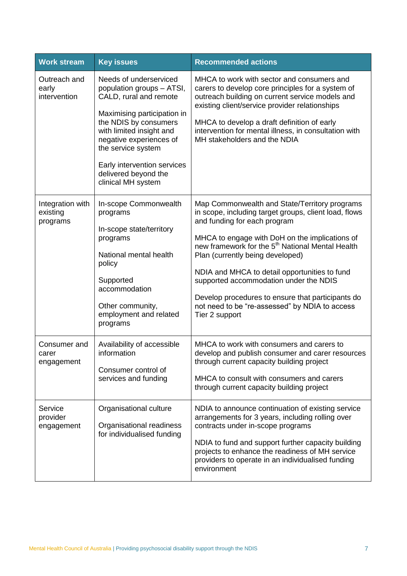| <b>Work stream</b>                       | <b>Key issues</b>                                                                                                                                                                                                                                                                               | <b>Recommended actions</b>                                                                                                                                                                                                                                                                                                                                                                                                                                                                                       |
|------------------------------------------|-------------------------------------------------------------------------------------------------------------------------------------------------------------------------------------------------------------------------------------------------------------------------------------------------|------------------------------------------------------------------------------------------------------------------------------------------------------------------------------------------------------------------------------------------------------------------------------------------------------------------------------------------------------------------------------------------------------------------------------------------------------------------------------------------------------------------|
| Outreach and<br>early<br>intervention    | Needs of underserviced<br>population groups - ATSI,<br>CALD, rural and remote<br>Maximising participation in<br>the NDIS by consumers<br>with limited insight and<br>negative experiences of<br>the service system<br>Early intervention services<br>delivered beyond the<br>clinical MH system | MHCA to work with sector and consumers and<br>carers to develop core principles for a system of<br>outreach building on current service models and<br>existing client/service provider relationships<br>MHCA to develop a draft definition of early<br>intervention for mental illness, in consultation with<br>MH stakeholders and the NDIA                                                                                                                                                                     |
| Integration with<br>existing<br>programs | In-scope Commonwealth<br>programs<br>In-scope state/territory<br>programs<br>National mental health<br>policy<br>Supported<br>accommodation<br>Other community,<br>employment and related<br>programs                                                                                           | Map Commonwealth and State/Territory programs<br>in scope, including target groups, client load, flows<br>and funding for each program<br>MHCA to engage with DoH on the implications of<br>new framework for the 5 <sup>th</sup> National Mental Health<br>Plan (currently being developed)<br>NDIA and MHCA to detail opportunities to fund<br>supported accommodation under the NDIS<br>Develop procedures to ensure that participants do<br>not need to be "re-assessed" by NDIA to access<br>Tier 2 support |
| Consumer and<br>carer<br>engagement      | Availability of accessible<br>information<br>Consumer control of<br>services and funding                                                                                                                                                                                                        | MHCA to work with consumers and carers to<br>develop and publish consumer and carer resources<br>through current capacity building project<br>MHCA to consult with consumers and carers<br>through current capacity building project                                                                                                                                                                                                                                                                             |
| Service<br>provider<br>engagement        | Organisational culture<br>Organisational readiness<br>for individualised funding                                                                                                                                                                                                                | NDIA to announce continuation of existing service<br>arrangements for 3 years, including rolling over<br>contracts under in-scope programs<br>NDIA to fund and support further capacity building<br>projects to enhance the readiness of MH service<br>providers to operate in an individualised funding<br>environment                                                                                                                                                                                          |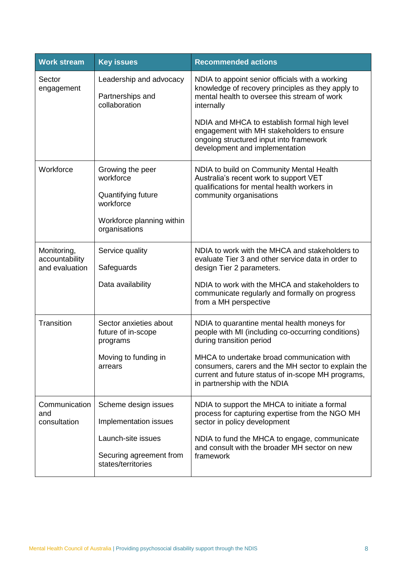| <b>Work stream</b>                              | <b>Key issues</b>                                                                                              | <b>Recommended actions</b>                                                                                                                                                                                                            |
|-------------------------------------------------|----------------------------------------------------------------------------------------------------------------|---------------------------------------------------------------------------------------------------------------------------------------------------------------------------------------------------------------------------------------|
| Sector<br>engagement                            | Leadership and advocacy<br>Partnerships and<br>collaboration                                                   | NDIA to appoint senior officials with a working<br>knowledge of recovery principles as they apply to<br>mental health to oversee this stream of work<br>internally                                                                    |
|                                                 |                                                                                                                | NDIA and MHCA to establish formal high level<br>engagement with MH stakeholders to ensure<br>ongoing structured input into framework<br>development and implementation                                                                |
| Workforce                                       | Growing the peer<br>workforce<br>Quantifying future<br>workforce<br>Workforce planning within<br>organisations | NDIA to build on Community Mental Health<br>Australia's recent work to support VET<br>qualifications for mental health workers in<br>community organisations                                                                          |
| Monitoring,<br>accountability<br>and evaluation | Service quality<br>Safeguards<br>Data availability                                                             | NDIA to work with the MHCA and stakeholders to<br>evaluate Tier 3 and other service data in order to<br>design Tier 2 parameters.<br>NDIA to work with the MHCA and stakeholders to<br>communicate regularly and formally on progress |
|                                                 |                                                                                                                | from a MH perspective                                                                                                                                                                                                                 |
| Transition                                      | Sector anxieties about<br>future of in-scope<br>programs                                                       | NDIA to quarantine mental health moneys for<br>people with MI (including co-occurring conditions)<br>during transition period                                                                                                         |
|                                                 | Moving to funding in<br>arrears                                                                                | MHCA to undertake broad communication with<br>consumers, carers and the MH sector to explain the<br>current and future status of in-scope MH programs,<br>in partnership with the NDIA                                                |
| Communication<br>and<br>consultation            | Scheme design issues<br>Implementation issues                                                                  | NDIA to support the MHCA to initiate a formal<br>process for capturing expertise from the NGO MH<br>sector in policy development                                                                                                      |
|                                                 | Launch-site issues<br>Securing agreement from<br>states/territories                                            | NDIA to fund the MHCA to engage, communicate<br>and consult with the broader MH sector on new<br>framework                                                                                                                            |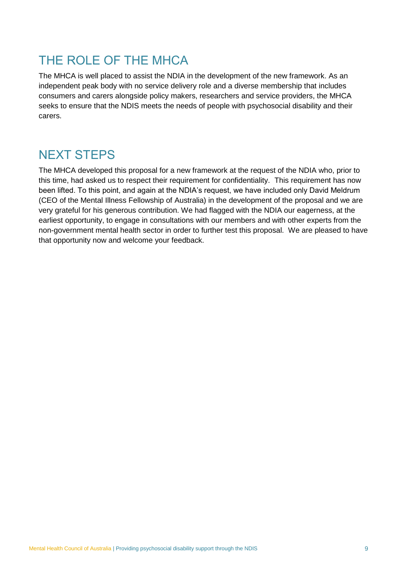# THE ROLE OF THE MHCA

The MHCA is well placed to assist the NDIA in the development of the new framework. As an independent peak body with no service delivery role and a diverse membership that includes consumers and carers alongside policy makers, researchers and service providers, the MHCA seeks to ensure that the NDIS meets the needs of people with psychosocial disability and their carers.

#### NEXT STEPS

The MHCA developed this proposal for a new framework at the request of the NDIA who, prior to this time, had asked us to respect their requirement for confidentiality. This requirement has now been lifted. To this point, and again at the NDIA's request, we have included only David Meldrum (CEO of the Mental Illness Fellowship of Australia) in the development of the proposal and we are very grateful for his generous contribution. We had flagged with the NDIA our eagerness, at the earliest opportunity, to engage in consultations with our members and with other experts from the non-government mental health sector in order to further test this proposal. We are pleased to have that opportunity now and welcome your feedback.